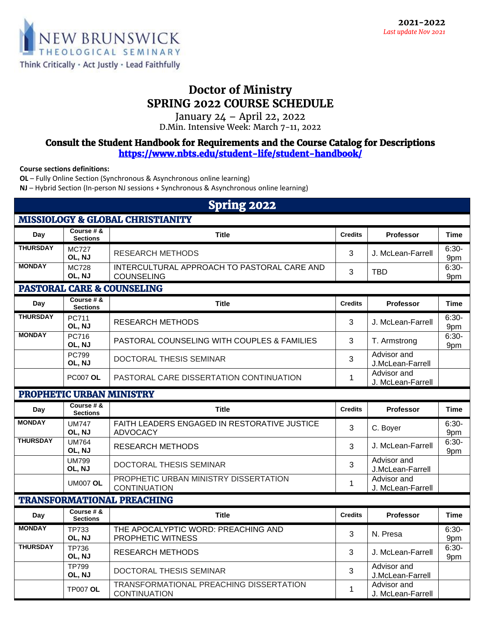

## **Doctor of Ministry SPRING 2022 COURSE SCHEDULE**

January 24 – April 22, 2022 D.Min. Intensive Week: March 7-11, 2022

## *Consult the Student Handbook for Requirements and the Course Catalog for Descriptions <https://www.nbts.edu/student-life/student-handbook/>*

**Course sections definitions:**

**OL** – Fully Online Section (Synchronous & Asynchronous online learning)

**NJ** – Hybrid Section (In-person NJ sessions + Synchronous & Asynchronous online learning)

| <b>Spring 2022</b>                          |                               |                                                                  |                |                                  |                |  |  |  |  |  |
|---------------------------------------------|-------------------------------|------------------------------------------------------------------|----------------|----------------------------------|----------------|--|--|--|--|--|
| <b>MISSIOLOGY &amp; GLOBAL CHRISTIANITY</b> |                               |                                                                  |                |                                  |                |  |  |  |  |  |
| Day                                         | Course # &<br><b>Sections</b> | <b>Title</b>                                                     | <b>Credits</b> | <b>Professor</b>                 | <b>Time</b>    |  |  |  |  |  |
| <b>THURSDAY</b>                             | <b>MC727</b><br>OL, NJ        | <b>RESEARCH METHODS</b>                                          | 3              | J. McLean-Farrell                | $6:30-$<br>9pm |  |  |  |  |  |
| <b>MONDAY</b>                               | <b>MC728</b><br>OL, NJ        | INTERCULTURAL APPROACH TO PASTORAL CARE AND<br><b>COUNSELING</b> | 3              | TBD                              | $6:30-$<br>9pm |  |  |  |  |  |
| <b>PASTORAL CARE &amp; COUNSELING</b>       |                               |                                                                  |                |                                  |                |  |  |  |  |  |
| Day                                         | Course # &<br><b>Sections</b> | <b>Title</b>                                                     | <b>Credits</b> | Professor                        | <b>Time</b>    |  |  |  |  |  |
| <b>THURSDAY</b>                             | PC711<br>OL, NJ               | <b>RESEARCH METHODS</b>                                          | 3              | J. McLean-Farrell                | $6:30-$<br>9pm |  |  |  |  |  |
| <b>MONDAY</b>                               | PC716<br>OL, NJ               | <b>PASTORAL COUNSELING WITH COUPLES &amp; FAMILIES</b>           | 3              | T. Armstrong                     | $6:30-$<br>9pm |  |  |  |  |  |
|                                             | <b>PC799</b><br>OL. NJ        | DOCTORAL THESIS SEMINAR                                          | 3              | Advisor and<br>J.McLean-Farrell  |                |  |  |  |  |  |
|                                             | <b>PC007 OL</b>               | PASTORAL CARE DISSERTATION CONTINUATION                          | 1              | Advisor and<br>J. McLean-Farrell |                |  |  |  |  |  |
| PROPHETIC URBAN MINISTRY                    |                               |                                                                  |                |                                  |                |  |  |  |  |  |
|                                             |                               |                                                                  |                |                                  |                |  |  |  |  |  |
| Day                                         | Course # &<br><b>Sections</b> | <b>Title</b>                                                     | <b>Credits</b> | <b>Professor</b>                 | <b>Time</b>    |  |  |  |  |  |
| <b>MONDAY</b>                               | <b>UM747</b><br>OL, NJ        | FAITH LEADERS ENGAGED IN RESTORATIVE JUSTICE<br><b>ADVOCACY</b>  | 3              | C. Boyer                         | $6:30-$<br>9pm |  |  |  |  |  |
| <b>THURSDAY</b>                             | <b>UM764</b><br>OL, NJ        | <b>RESEARCH METHODS</b>                                          | 3              | J. McLean-Farrell                | $6:30-$<br>9pm |  |  |  |  |  |
|                                             | <b>UM799</b><br>OL. NJ        | DOCTORAL THESIS SEMINAR                                          | 3              | Advisor and<br>J.McLean-Farrell  |                |  |  |  |  |  |
|                                             | <b>UM007 OL</b>               | PROPHETIC URBAN MINISTRY DISSERTATION<br><b>CONTINUATION</b>     | 1              | Advisor and<br>J. McLean-Farrell |                |  |  |  |  |  |
|                                             |                               | <b>TRANSFORMATIONAL PREACHING</b>                                |                |                                  |                |  |  |  |  |  |
| Day                                         | Course # &<br><b>Sections</b> | <b>Title</b>                                                     | <b>Credits</b> | <b>Professor</b>                 | <b>Time</b>    |  |  |  |  |  |
| <b>MONDAY</b>                               | <b>TP733</b><br>OL, NJ        | THE APOCALYPTIC WORD: PREACHING AND<br>PROPHETIC WITNESS         | 3              | N. Presa                         | $6:30-$<br>9pm |  |  |  |  |  |
| <b>THURSDAY</b>                             | TP736<br>OL, NJ               | <b>RESEARCH METHODS</b>                                          | 3              | J. McLean-Farrell                | $6:30-$<br>9pm |  |  |  |  |  |
|                                             | <b>TP799</b><br>OL, NJ        | DOCTORAL THESIS SEMINAR                                          | 3              | Advisor and<br>J.McLean-Farrell  |                |  |  |  |  |  |